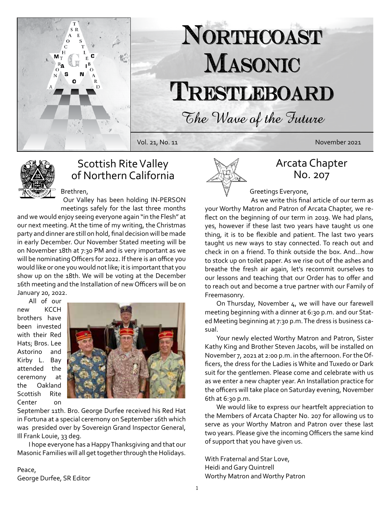

# NORTHCOAST MASONIC TRESTLEBOARD

The Wave of the Future

Vol. 21, No. 11 November 2021



## Scottish Rite Valley of Northern California

Brethren, Our Valley has been holding IN-PERSON meetings safely for the last three months

and we would enjoy seeing everyone again "in the Flesh" at our next meeting. At the time of my writing, the Christmas party and dinner are still on hold, final decision will be made in early December. Our November Stated meeting will be on November 18th at 7:30 PM and is very important as we will be nominating Officers for 2022. If there is an office you would like or one you would not like; it is important that you show up on the 18th. We will be voting at the December 16th meeting and the Installation of new Officers will be on January 20, 2022.

All of our new KCCH brothers have been invested with their Red Hats; Bros. Lee Astorino and Kirby L. Bay attended the ceremony at the Oakland Scottish Rite Center on



September 11th. Bro. George Durfee received his Red Hat in Fortuna at a special ceremony on September 16th which was presided over by Sovereign Grand Inspector General, Ill Frank Louie, 33 deg.

I hope everyone has a Happy Thanksgiving and that our Masonic Families will all get together through the Holidays.

## Peace,

George Durfee, SR Editor



#### Arcata Chapter No. 207

Greetings Everyone,

As we write this final article of our term as your Worthy Matron and Patron of Arcata Chapter, we reflect on the beginning of our term in 2019. We had plans, yes, however if these last two years have taught us one thing, it is to be flexible and patient. The last two years taught us new ways to stay connected. To reach out and check in on a friend. To think outside the box. And...how to stock up on toilet paper. As we rise out of the ashes and breathe the fresh air again, let's recommit ourselves to our lessons and teaching that our Order has to offer and to reach out and become a true partner with our Family of Freemasonry.

On Thursday, November 4, we will have our farewell meeting beginning with a dinner at 6:30 p.m. and our Stated Meeting beginning at 7:30 p.m. The dress is business casual.

Your newly elected Worthy Matron and Patron, Sister Kathy King and Brother Steven Jacobs, will be installed on November 7, 2021 at 2:00 p.m. in the afternoon. For the Officers, the dress for the Ladies is White and Tuxedo or Dark suit for the gentlemen. Please come and celebrate with us as we enter a new chapter year. An Installation practice for the officers will take place on Saturday evening, November 6th at 6:30 p.m.

We would like to express our heartfelt appreciation to the Members of Arcata Chapter No. 207 for allowing us to serve as your Worthy Matron and Patron over these last two years. Please give the incoming Officers the same kind of support that you have given us.

With Fraternal and Star Love, Heidi and Gary Quintrell Worthy Matron and Worthy Patron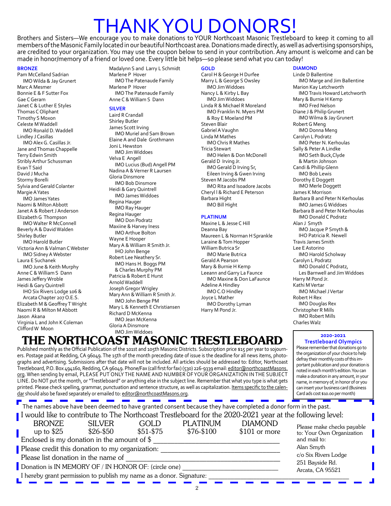## THANK YOU DONORS!

Brothers and Sisters—We encourage you to make donations to YOUR Northcoast Masonic Trestleboard to keep it coming to all members of the Masonic Family located in our beautiful Northcoast area. Donations made directly, as well as advertising sponsorships, are credited to your organization. You may use the coupon below to send in your contribution. Any amount is welcome and can be made in honor/memory of a friend or loved one. Every little bit helps—so please send what you can today!

#### **BRONZE**

Pam McCelland Sadrian IMO Wilda & Jay Grunert Marc A Mesmer Bonnie E & F Sutter Fox Gae C Geram Janet C & Luther E Styles Thomas C Oliphant Timothy S Moxon Celeste M Waddell IMO Ronald D. Waddell Lindley J Casillas IMO Alex G. Casillas Jr. Jane and Thomas Chappelle Terry Edwin Smith Stribly Arthur Schussman Evan T Said David J Mucha Stormy Borelli Sylvia and Gerald Colanter Margie A Yates IMO James Yates Naomi & Milton Abbott Janet A & Robert J Anderson Elizabeth G Thompson IMO Walter R McConnell Beverly A & David Walden Shirley Butler IMO Harold Butler Victoria Ann & Valman C Webster IMO Sidney A Webster Laura E Suchanek IMO June & Keith Murphy Anne C & William S Dann James Jeffery Wroble Heidi & Gary Quintrell IHO Six Rivers Lodge 106 & Arcata Chapter 207 O.E.S. Elizabeth M & Geoffrey T Wright Naomi R & Milton M Abbott Jason Akana Virginia L and John K Coleman Clifford W Moon

Madalynn S and Larry L Schmidt Marlene P Hover IMO The Patenaude Family Marlene P Hover IMO The Patenaude Family Anne C & William S Dann

#### **SILVER**

Laird R Crandall Shirley Butler James Scott Irving IMO Muriel and Sam Brown Elaine A and Dale Grothmann Joni L Hewston IMO Jim Widdoes Velva E Angell IMO Lucius (Bud) Angell PM Nadina A & Verner R Laursen Gloria Dinsmore IMO Bob Dinsmore Heidi & Gary Quintrell IMO James Widdoes Regina Hauger IMO Ray Hauger Regina Hauger IMO Don Podratz Maxiine & Harvey Iness IMO Arthue Bolton Wayne E Hooper Mary A & William R Smith Jr. IHO John Benge Robert Lee Neathery Sr. IMO Hans H. Boggs PM & Charles Murphy PM Patricia & Robert E Hurst Arnold Waddell Joseph Gregor Wrigley Mary Ann & William R Smith Jr. IMO John Benge PM Mary L & Kenneth E Christiansen Richard D McKenna IMO Jean McKenna Gloria A Dinsmore IMO Jim Widdoes

THE NORTHCOAST MASONIC TRESTLEBOARD Published monthly as the Official Publication of the 101st and 105th Masonic Districts. Subscription price \$15 per year to sojourners. Postage paid at Redding, CA 96049. The 15th of the month preceding date of issue is the deadline for all news items, photographs and advertising. Submissions after that date will not be included. All articles should be addressed to: Editor, Northcoast Trestleboard, P.O. Box 494160, Redding, CA 96049. Phone/Fax (call first for fax) (530) 226-9339 email: editor@northcoastMasons. org. When sending by email, PLEASE PUT ONLY THE NAME AND NUMBER OF YOUR ORGANIZATION IN THE SUBJECT LINE. Do NOT put the month, or "Trestleboard" or anything else in the subject line. Remember that what you type is what gets printed. Please check spelling, grammar, punctuation and sentence structure, as well as capitalization. Items specific to the calen-

#### **GOLD**

Carol H & George H Durfee Marry L & George S Owsley IMO Jim Widdoes Nancy L & Kirby L Bay IMO Jim Widdoes Linda R & Michael R Moreland IMO Franklin N. Myers PM & Roy E Moeland PM Steven Blair Gabriel A Vaughn Linda M Mathes IMO Chris R Mathes Tricia Stewart IMO Helen & Don McDonell Gerald D Irving Jr. IMO Gerald D Irving Sr, Eileen Irving & Gwen Irving Steven M Jacobs PM IMO Rita and Isoadore Jacobs Cheryl l & Richard E Peterson Barbara Hight IMO Bill Hight

#### **PLATINUM**

Maxine L & Jesse C Hill Deanna Bay Maureen L & Norman H Sprankle Laraine & Tom Hopper William Butrica Sr IMO Marie Butrica Gerald A Pearson Mary & Burnie H Kemp Leeann and Garry La Faunce IMO Maxine & Don LaFaunce Adeline A Hindley IMO C.O Hindley Joyce L Mather IMO Dorothy Lyman Harry M Pond Jr.

#### **DIAMOND**

Linde D Ballentine IMO Marge and Jim Ballentine Marion Kay Letchworth IMO Travis Howard Letchworth Mary & Burnie H Kemp IMO Fred Nelson Diane J & Philip Grunert IMO Wilma & Jay Grunert Robert G Meng IMO Donna Meng Carolyn L Podratz IMO Peter N. Kerhoulas Sally & Peter A Lindke IMO Seth Buck,Clyde & Martin Johnson Candi & Phillip Glenn IMO Bob Lewis Dorothy E Doggett IMO Merle Doggett James K Morrison Barbara B and Peter N Kerhoulas IMO James G Widdoes Barbara B and Peter N Kerhoulas IMO Donald C Podratz Alan J Smyth IMO Jacque P Smyth & IHO Patricia R. Newell Travis James Smith Lee E Astorino IMO Harold Scholway Carolyn L Podratz IMO Donald C Podratz, Les Barnwell and Jim Widdoes Harry M Pond Jr. Kathi M Vertar IMO Michael J Vertar Robert H Rex IMO Douglas Rex Christopher R Mills IMO Robert Mills Charles Walz

#### **2020-2021**

**Trestleboard Olympics** Please remember that donations go to the organization of your choice to help defray their monthly costs of this important publication and your donation is noted in each month's edition. You can make a donation in any amount, in your name, in memory of, in honor of or you can insert your business card (Business Card ads cost \$10.00 per month)

| dar should also be faxed separately or emailed to: editor@northcoastMasons.org.        |                              |                   |                                                                                                                                                                                                                            |                                  | Card ads cost \$10.00 per month)                                        |
|----------------------------------------------------------------------------------------|------------------------------|-------------------|----------------------------------------------------------------------------------------------------------------------------------------------------------------------------------------------------------------------------|----------------------------------|-------------------------------------------------------------------------|
|                                                                                        |                              |                   | The names above have been deemed to have granted consent because they have completed a donor form in the past.<br>I would like to contribute to The Northcoast Trestleboard for the 2020-2021 year at the following level: |                                  |                                                                         |
| <b>BRONZE</b><br>up to $$25$<br>Enclosed is my donation in the amount of $\frac{1}{2}$ | <b>SILVER</b><br>$$26 - $50$ | GOLD<br>$$51-$75$ | <b>PLATINUM</b><br>$$76 - $100$                                                                                                                                                                                            | <b>DIAMOND</b><br>$$101$ or more | Please make checks payable<br>to: Your Own Organization<br>and mail to: |
| Please credit this donation to my organization:                                        |                              |                   |                                                                                                                                                                                                                            |                                  | Alan Smyth                                                              |
| Please list donation in the name of                                                    |                              |                   |                                                                                                                                                                                                                            |                                  | c/o Six Rivers Lodge                                                    |
| Donation is IN MEMORY OF / IN HONOR OF: (circle one)                                   |                              |                   |                                                                                                                                                                                                                            |                                  | 251 Bayside Rd.<br>Arcata, CA 95521                                     |
| I hereby grant permission to publish my name as a donor. Signature:                    |                              |                   |                                                                                                                                                                                                                            |                                  |                                                                         |
|                                                                                        |                              |                   |                                                                                                                                                                                                                            |                                  |                                                                         |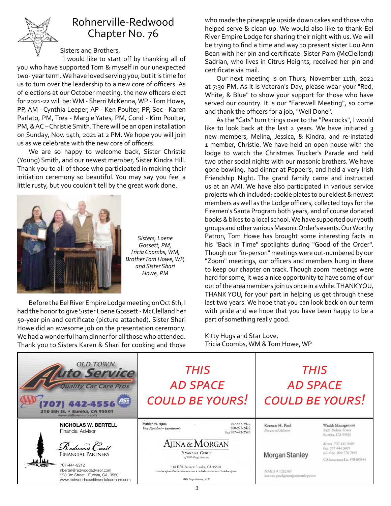

## Rohnerville-Redwood Chapter No. 76

#### Sisters and Brothers,

I would like to start off by thanking all of you who have supported Tom & myself in our unexpected two- year term. We have loved serving you, but it is time for us to turn over the leadership to a new core of officers. As of elections at our October meeting, the new officers elect for 2021-22 will be: WM - Sherri McKenna, WP - Tom Howe, PP, AM - Cynthia Leeper, AP - Ken Poulter, PP, Sec - Karen Parlato, PM, Trea - Margie Yates, PM, Cond - Kim Poulter, PM, & AC – Christie Smith. There will be an open installation on Sunday, Nov. 14th, 2021 at 2 PM. We hope you will join us as we celebrate with the new core of officers.

We are so happy to welcome back, Sister Christie (Young) Smith, and our newest member, Sister Kindra Hill. Thank you to all of those who participated in making their initiation ceremony so beautiful. You may say you feel a little rusty, but you couldn't tell by the great work done.



and Sister Shari *Sisters, Loene Gossett, PM, Tricia Coombs, WM, Brother Tom Howe, WP, Howe, PM*

Before the Eel River Empire Lodge meeting on Oct 6th, I had the honor to give Sister Loene Gossett - McClelland her 50-year pin and certificate (picture attached). Sister Shari https part of se Howe did an awesome job on the presentation ceremony. We had a wonderful ham dinner for all those who attended. Thank you to Sisters Karen & Shari for cooking and those

who made the pineapple upside down cakes and those who helped serve & clean up. We would also like to thank Eel River Empire Lodge for sharing their night with us. We will be trying to find a time and way to present sister Lou Ann Bean with her pin and certificate. Sister Pam (McClelland) Sadrian, who lives in Citrus Heights, received her pin and certificate via mail.

Our next meeting is on Thurs, November 11th, 2021 at 7:30 PM. As it is Veteran's Day, please wear your "Red, White, & Blue" to show your support for those who have served our country. It is our "Farewell Meeting", so come and thank the officers for a job, "Well Done".

 $WM$ , Though our "in-person" meetings were out-numbered by our  $\mathcal{C}_r$ , WP, we "Zoom" meetings, our officers and members hung in there  $\mathcal{C}_r$ hard for some, it was a nice opportunity to have some of our out of the area members join us once in a while. THANK YOU, THANK YOU, for your part in helping us get through these PM, his "Back In Time" spotlights during "Good of the Order". As the "Cats" turn things over to the "Peacocks", I would like to look back at the last 2 years. We have initiated 3 new members, Melina, Jessica, & Kindra, and re-instated 1 member, Christie. We have held an open house with the lodge to watch the Christmas Trucker's Parade and held two other social nights with our masonic brothers. We have gone bowling, had dinner at Pepper's, and held a very Irish Friendship Night. The grand family came and instructed us at an AMI. We have also participated in various service projects which included; cookie plates to our eldest & newest members as well as the Lodge officers, collected toys for the Firemen's Santa Program both years, and of course donated books & bikes to a local school. We have supported our youth groups and other various Masonic Order's events. Our Worthy Patron, Tom Howe has brought some interesting facts in to keep our chapter on track. Though zoom meetings were last two years. We hope that you can look back on our term with pride and we hope that you have been happy to be a part of something really good.

> Kitty Hugs and Star Love, Tricia Coombs, WM & Tom Howe, WP

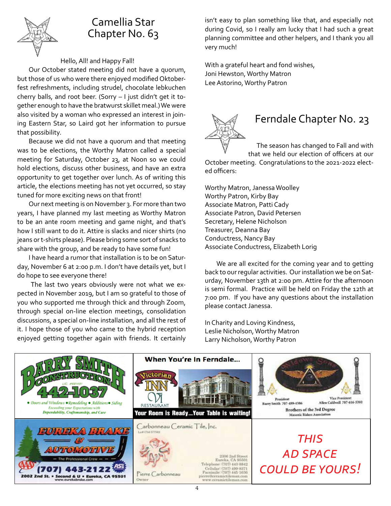

#### Camellia Star Chapter No. 63

#### Hello, All! and Happy Fall!

Our October stated meeting did not have a quorum, but those of us who were there enjoyed modified Oktoberfest refreshments, including strudel, chocolate lebkuchen cherry balls, and root beer. (Sorry – I just didn't get it together enough to have the bratwurst skillet meal.) We were also visited by a woman who expressed an interest in joining Eastern Star, so Laird got her information to pursue that possibility.

Because we did not have a quorum and that meeting was to be elections, the Worthy Matron called a special meeting for Saturday, October 23, at Noon so we could hold elections, discuss other business, and have an extra opportunity to get together over lunch. As of writing this article, the elections meeting has not yet occurred, so stay tuned for more exciting news on that front!

Our next meeting is on November 3. For more than two years, I have planned my last meeting as Worthy Matron to be an ante room meeting and game night, and that's how I still want to do it. Attire is slacks and nicer shirts (no jeans or t-shirts please). Please bring some sort of snacks to share with the group, and be ready to have some fun!

I have heard a rumor that installation is to be on Saturday, November 6 at 2:00 p.m. I don't have details yet, but I do hope to see everyone there!

 The last two years obviously were not what we expected in November 2019, but I am so grateful to those of you who supported me through thick and through Zoom, through special on-line election meetings, consolidation discussions, a special on-line installation, and all the rest of it. I hope those of you who came to the hybrid reception enjoyed getting together again with friends. It certainly

isn't easy to plan something like that, and especially not during Covid, so I really am lucky that I had such a great planning committee and other helpers, and I thank you all very much!

With a grateful heart and fond wishes, Joni Hewston, Worthy Matron Lee Astorino, Worthy Patron



### Ferndale Chapter No. 23

 The season has changed to Fall and with that we held our election of officers at our

October meeting. Congratulations to the 2021-2022 elected officers:

Worthy Matron, Janessa Woolley Worthy Patron, Kirby Bay Associate Matron, Patti Cady Associate Patron, David Petersen Secretary, Helene Nicholson Treasurer, Deanna Bay Conductress, Nancy Bay Associate Conductress, Elizabeth Lorig

We are all excited for the coming year and to getting back to our regular activities. Our installation we be on Saturday, November 13th at 2:00 pm. Attire for the afternoon is semi formal. Practice will be held on Friday the 12th at 7:00 pm. If you have any questions about the installation please contact Janessa.

In Charity and Loving Kindness, Leslie Nicholson, Worthy Matron Larry Nicholson, Worthy Patron

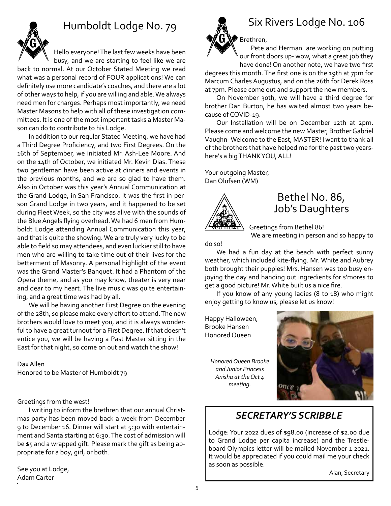

## Humboldt Lodge No. 79

Hello everyone! The last few weeks have been busy, and we are starting to feel like we are

back to normal. At our October Stated Meeting we read what was a personal record of FOUR applications! We can definitely use more candidate's coaches, and there are a lot of other ways to help, if you are willing and able. We always need men for charges. Perhaps most importantly, we need Master Masons to help with all of these investigation committees. It is one of the most important tasks a Master Mason can do to contribute to his Lodge.

In addition to our regular Stated Meeting, we have had a Third Degree Proficiency, and two First Degrees. On the 16th of September, we initiated Mr. Ash-Lee Moore. And on the 14th of October, we initiated Mr. Kevin Dias. These two gentleman have been active at dinners and events in the previous months, and we are so glad to have them. Also in October was this year's Annual Communication at the Grand Lodge, in San Francisco. It was the first in-person Grand Lodge in two years, and it happened to be set during Fleet Week, so the city was alive with the sounds of the Blue Angels flying overhead. We had 6 men from Humboldt Lodge attending Annual Communication this year, and that is quite the showing. We are truly very lucky to be able to field so may attendees, and even luckier still to have men who are willing to take time out of their lives for the betterment of Masonry. A personal highlight of the event was the Grand Master's Banquet. It had a Phantom of the Opera theme, and as you may know, theater is very near and dear to my heart. The live music was quite entertaining, and a great time was had by all.

We will be having another First Degree on the evening of the 28th, so please make every effort to attend. The new brothers would love to meet you, and it is always wonderful to have a great turnout for a First Degree. If that doesn't entice you, we will be having a Past Master sitting in the East for that night, so come on out and watch the show!

Dax Allen Honored to be Master of Humboldt 79

Greetings from the west!

I writing to inform the brethren that our annual Christmas party has been moved back a week from December 9 to December 16. Dinner will start at 5:30 with entertainment and Santa starting at 6:30. The cost of admission will be \$5 and a wrapped gift. Please mark the gift as being appropriate for a boy, girl, or both.

See you at Lodge, Adam Carter



## Six Rivers Lodge No. 106

Brethren, Pete and Herman are working on putting our front doors up- wow, what a great job they

have done! On another note, we have two first degrees this month. The first one is on the 19th at 7pm for Marcum Charles Augustus, and on the 26th for Derek Ross at 7pm. Please come out and support the new members.

On November 30th, we will have a third degree for brother Dan Burton, he has waited almost two years because of COVID-19.

Our Installation will be on December 12th at 2pm. Please come and welcome the new Master, Brother Gabriel Vaughn- Welcome to the East, MASTER! I want to thank all of the brothers that have helped me for the past two yearshere's a big THANK YOU, ALL!

Your outgoing Master, Dan Olufsen (WM)



#### Bethel No. 86, Job's Daughters

Greetings from Bethel 86!

We are meeting in person and so happy to

do so!

We had a fun day at the beach with perfect sunny weather, which included kite-flying. Mr. White and Aubrey both brought their puppies! Mrs. Hansen was too busy enjoying the day and handing out ingredients for s'mores to get a good picture! Mr. White built us a nice fire.

If you know of any young ladies (8 to 18) who might enjoy getting to know us, please let us know!

Happy Halloween, Brooke Hansen Honored Queen

*Honored Queen Brooke and Junior Princess Anisha at the Oct 4 meeting.*



#### *SECRETARY'S SCRIBBLE*

Lodge: Your 2022 dues of \$98.00 (increase of \$2.00 due to Grand Lodge per capita increase) and the Trestleboard Olympics letter will be mailed November 1 2021. It would be appreciated if you could mail me your check as soon as possible.

Alan, Secretary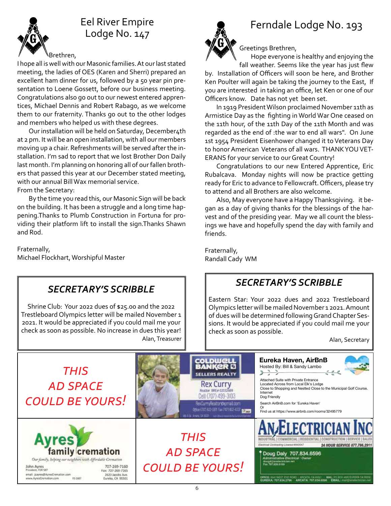

## Eel River Empire Lodge No. 147



I hope all is well with our Masonic families. At our last stated meeting, the ladies of OES (Karen and Sherri) prepared an excellent ham dinner for us, followed by a 50 year pin presentation to Loene Gossett, before our business meeting. Congratulations also go out to our newest entered apprentices, Michael Dennis and Robert Rabago, as we welcome them to our fraternity. Thanks go out to the other lodges and members who helped us with these degrees.

Our installation will be held on Saturday, December4th at 2 pm. It will be an open installation, with all our members moving up a chair. Refreshments will be served after the installation. I'm sad to report that we lost Brother Don Daily last month. I'm planning on honoring all of our fallen brothers that passed this year at our December stated meeting, with our annual Bill Wax memorial service.

From the Secretary:

By the time you read this, our Masonic Sign will be back on the building. It has been a struggle and a long time happening.Thanks to Plumb Construction in Fortuna for providing their platform lift to install the sign.Thanks Shawn and Rod.

*SECRETARY'S SCRIBBLE*

Shrine Club: Your 2022 dues of \$25.00 and the 2022 Trestleboard Olympics letter will be mailed November 1 2021. It would be appreciated if you could mail me your check as soon as possible. No increase in dues this year!

Fraternally, Michael Flockhart, Worshipful Master



## Ferndale Lodge No. 193

Greetings Brethren,

Hope everyone is healthy and enjoying the fall weather. Seems like the year has just flew

by. Installation of Officers will soon be here, and Brother Ken Poulter will again be taking the journey to the East, If you are interested in taking an office, let Ken or one of our Officers know. Date has not yet been set.

 In 1919 President Wilson proclaimed November 11th as Armistice Day as the fighting in World War One ceased on the 11th hour, of the 11th Day of the 11th Month and was regarded as the end of :the war to end all wars". On June 1st 1954 President Eisenhower changed it to Veterans Day to honor American Veterans of all wars. THANK YOU VET-ERANS for your service to our Great Country!

Congratulations to our new Entered Apprentice, Eric Rubalcava. Monday nights will now be practice getting ready for Eric to advance to Fellowcraft. Officers, please try to attend and all Brothers are also welcome.

Also, May everyone have a Happy Thanksgiving. it began as a day of giving thanks for the blessings of the harvest and of the presiding year. May we all count the blessings we have and hopefully spend the day with family and friends.

Fraternally, Randall Cady WM

### *SECRETARY'S SCRIBBLE*

Eastern Star: Your 2022 dues and 2022 Trestleboard Olympics letter will be mailed November 1 2021. Amount of dues will be determined following Grand Chapter Sessions. It would be appreciated if you could mail me your check as soon as possible.

Alan, Secretary



Alan, Treasurer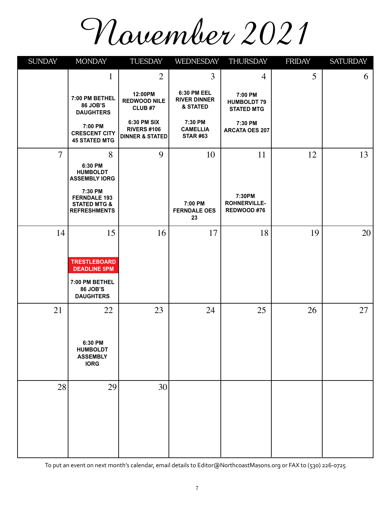# November 2021

| <b>SUNDAY</b>  | <b>MONDAY</b>                                                                    | TUESDAY                                                         | WEDNESDAY                                      | THURSDAY                                           | <b>FRIDAY</b> | <b>SATURDAY</b> |
|----------------|----------------------------------------------------------------------------------|-----------------------------------------------------------------|------------------------------------------------|----------------------------------------------------|---------------|-----------------|
|                | $\mathbf 1$                                                                      | $\overline{2}$                                                  | 3                                              | 4                                                  | 5             | 6               |
|                | 7:00 PM BETHEL<br>86 JOB'S<br><b>DAUGHTERS</b>                                   | 12:00PM<br><b>REDWOOD NILE</b><br>CLUB <sub>#7</sub>            | 6:30 PM EEL<br><b>RIVER DINNER</b><br>& STATED | 7:00 PM<br><b>HUMBOLDT 79</b><br><b>STATED MTG</b> |               |                 |
|                | 7:00 PM<br><b>CRESCENT CITY</b><br><b>45 STATED MTG</b>                          | 6:30 PM SIX<br><b>RIVERS #106</b><br><b>DINNER &amp; STATED</b> | 7:30 PM<br><b>CAMELLIA</b><br><b>STAR #63</b>  | 7:30 PM<br><b>ARCATA OES 207</b>                   |               |                 |
| $\overline{7}$ | 8                                                                                | 9                                                               | 10                                             | 11                                                 | 12            | 13              |
|                | 6:30 PM<br><b>HUMBOLDT</b><br><b>ASSEMBLY IORG</b>                               |                                                                 |                                                |                                                    |               |                 |
|                | 7:30 PM<br><b>FERNDALE 193</b><br><b>STATED MTG &amp;</b><br><b>REFRESHMENTS</b> |                                                                 | 7:00 PM<br><b>FERNDALE OES</b><br>23           | 7:30PM<br><b>ROHNERVILLE-</b><br>REDWOOD #76       |               |                 |
| 14             | 15                                                                               | 16                                                              | 17                                             | 18                                                 | 19            | 20              |
|                |                                                                                  |                                                                 |                                                |                                                    |               |                 |
|                | <b>TRESTLEBOARD</b><br><b>DEADLINE 5PM</b>                                       |                                                                 |                                                |                                                    |               |                 |
|                | 7:00 PM BETHEL<br>86 JOB'S<br><b>DAUGHTERS</b>                                   |                                                                 |                                                |                                                    |               |                 |
| 21             | 22                                                                               | 23                                                              | 24                                             | 25                                                 | 26            | 27              |
|                |                                                                                  |                                                                 |                                                |                                                    |               |                 |
|                | 6:30 PM<br><b>HUMBOLDT</b><br><b>ASSEMBLY</b><br><b>IORG</b>                     |                                                                 |                                                |                                                    |               |                 |
| 28             | 29                                                                               | 30                                                              |                                                |                                                    |               |                 |
|                |                                                                                  |                                                                 |                                                |                                                    |               |                 |

To put an event on next month's calendar, email details to Editor@NorthcoastMasons.org or FAX to (530) 226-0725